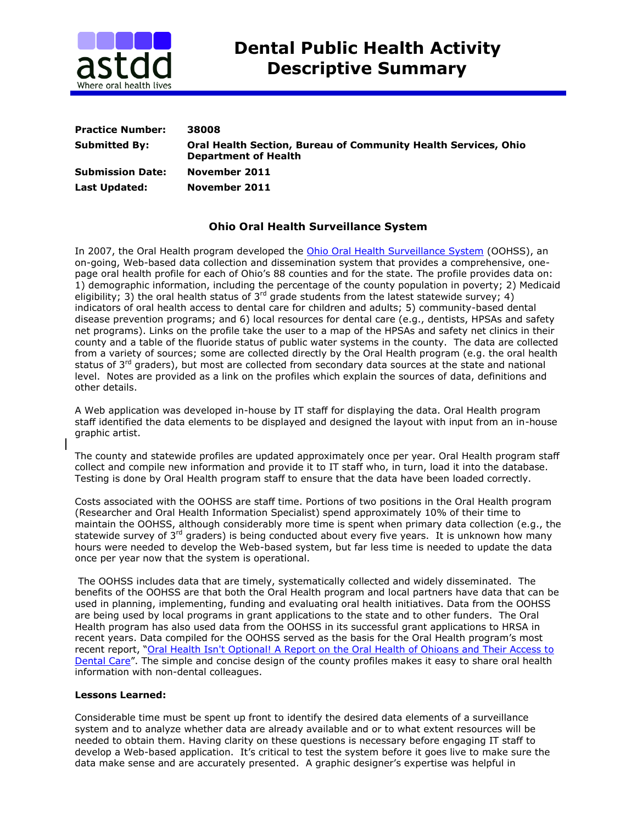

| <b>Practice Number:</b> | 38008                                                                                                |
|-------------------------|------------------------------------------------------------------------------------------------------|
| <b>Submitted By:</b>    | <b>Oral Health Section, Bureau of Community Health Services, Ohio</b><br><b>Department of Health</b> |
| <b>Submission Date:</b> | November 2011                                                                                        |
| Last Updated:           | November 2011                                                                                        |

## **Ohio Oral Health Surveillance System**

In 2007, the Oral Health program developed the [Ohio Oral Health Surveillance System](http://publicapps.odh.ohio.gov/oralhealth/) (OOHSS), an on-going, Web-based data collection and dissemination system that provides a comprehensive, onepage oral health profile for each of Ohio's 88 counties and for the state. The profile provides data on: 1) demographic information, including the percentage of the county population in poverty; 2) Medicaid eligibility; 3) the oral health status of 3<sup>rd</sup> grade students from the latest statewide survey; 4) indicators of oral health access to dental care for children and adults; 5) community-based dental disease prevention programs; and 6) local resources for dental care (e.g., dentists, HPSAs and safety net programs). Links on the profile take the user to a map of the HPSAs and safety net clinics in their county and a table of the fluoride status of public water systems in the county. The data are collected from a variety of sources; some are collected directly by the Oral Health program (e.g. the oral health status of 3<sup>rd</sup> graders), but most are collected from secondary data sources at the state and national level. Notes are provided as a link on the profiles which explain the sources of data, definitions and other details.

A Web application was developed in-house by IT staff for displaying the data. Oral Health program staff identified the data elements to be displayed and designed the layout with input from an in-house graphic artist.

The county and statewide profiles are updated approximately once per year. Oral Health program staff collect and compile new information and provide it to IT staff who, in turn, load it into the database. Testing is done by Oral Health program staff to ensure that the data have been loaded correctly.

Costs associated with the OOHSS are staff time. Portions of two positions in the Oral Health program (Researcher and Oral Health Information Specialist) spend approximately 10% of their time to maintain the OOHSS, although considerably more time is spent when primary data collection (e.g., the statewide survey of 3<sup>rd</sup> graders) is being conducted about every five years. It is unknown how many hours were needed to develop the Web-based system, but far less time is needed to update the data once per year now that the system is operational.

The OOHSS includes data that are timely, systematically collected and widely disseminated. The benefits of the OOHSS are that both the Oral Health program and local partners have data that can be used in planning, implementing, funding and evaluating oral health initiatives. Data from the OOHSS are being used by local programs in grant applications to the state and to other funders. The Oral Health program has also used data from the OOHSS in its successful grant applications to HRSA in recent years. Data compiled for the OOHSS served as the basis for the Oral Health program's most recent report, "[Oral Health Isn't Optional! A Report on the Oral Health of Ohioans and Their Access to](http://www.odh.ohio.gov/ASSETS/9D6F5D0D764E4254A0CCC82D56819E26/Oral%20Health%20Isnt%20Optional%20Final%208_9.pdf)  [Dental Care](http://www.odh.ohio.gov/ASSETS/9D6F5D0D764E4254A0CCC82D56819E26/Oral%20Health%20Isnt%20Optional%20Final%208_9.pdf)". The simple and concise design of the county profiles makes it easy to share oral health information with non-dental colleagues.

## **Lessons Learned:**

Considerable time must be spent up front to identify the desired data elements of a surveillance system and to analyze whether data are already available and or to what extent resources will be needed to obtain them. Having clarity on these questions is necessary before engaging IT staff to develop a Web-based application. It's critical to test the system before it goes live to make sure the data make sense and are accurately presented. A graphic designer's expertise was helpful in